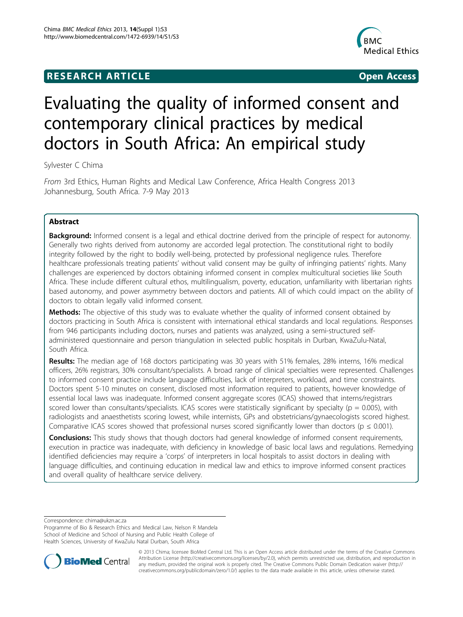## **RESEARCH ARTICLE Example 2018 12:00 Open Access**



# Evaluating the quality of informed consent and contemporary clinical practices by medical doctors in South Africa: An empirical study

Sylvester C Chima

From 3rd Ethics, Human Rights and Medical Law Conference, Africa Health Congress 2013 Johannesburg, South Africa. 7-9 May 2013

## Abstract

Background: Informed consent is a legal and ethical doctrine derived from the principle of respect for autonomy. Generally two rights derived from autonomy are accorded legal protection. The constitutional right to bodily integrity followed by the right to bodily well-being, protected by professional negligence rules. Therefore healthcare professionals treating patients' without valid consent may be guilty of infringing patients' rights. Many challenges are experienced by doctors obtaining informed consent in complex multicultural societies like South Africa. These include different cultural ethos, multilingualism, poverty, education, unfamiliarity with libertarian rights based autonomy, and power asymmetry between doctors and patients. All of which could impact on the ability of doctors to obtain legally valid informed consent.

**Methods:** The objective of this study was to evaluate whether the quality of informed consent obtained by doctors practicing in South Africa is consistent with international ethical standards and local regulations. Responses from 946 participants including doctors, nurses and patients was analyzed, using a semi-structured selfadministered questionnaire and person triangulation in selected public hospitals in Durban, KwaZulu-Natal, South Africa.

Results: The median age of 168 doctors participating was 30 years with 51% females, 28% interns, 16% medical officers, 26% registrars, 30% consultant/specialists. A broad range of clinical specialties were represented. Challenges to informed consent practice include language difficulties, lack of interpreters, workload, and time constraints. Doctors spent 5-10 minutes on consent, disclosed most information required to patients, however knowledge of essential local laws was inadequate. Informed consent aggregate scores (ICAS) showed that interns/registrars scored lower than consultants/specialists. ICAS scores were statistically significant by specialty ( $p = 0.005$ ), with radiologists and anaesthetists scoring lowest, while internists, GPs and obstetricians/gynaecologists scored highest. Comparative ICAS scores showed that professional nurses scored significantly lower than doctors ( $p \le 0.001$ ).

**Conclusions:** This study shows that though doctors had general knowledge of informed consent requirements, execution in practice was inadequate, with deficiency in knowledge of basic local laws and regulations. Remedying identified deficiencies may require a 'corps' of interpreters in local hospitals to assist doctors in dealing with language difficulties, and continuing education in medical law and ethics to improve informed consent practices and overall quality of healthcare service delivery.

Correspondence: [chima@ukzn.ac.za](mailto:chima@ukzn.ac.za)

Programme of Bio & Research Ethics and Medical Law, Nelson R Mandela School of Medicine and School of Nursing and Public Health College of Health Sciences, University of KwaZulu Natal Durban, South Africa



© 2013 Chima; licensee BioMed Central Ltd. This is an Open Access article distributed under the terms of the Creative Commons Attribution License [\(http://creativecommons.org/licenses/by/2.0](http://creativecommons.org/licenses/by/2.0)), which permits unrestricted use, distribution, and reproduction in any medium, provided the original work is properly cited. The Creative Commons Public Domain Dedication waiver [\(http://](http://creativecommons.org/publicdomain/zero/1.0/) [creativecommons.org/publicdomain/zero/1.0/](http://creativecommons.org/publicdomain/zero/1.0/)) applies to the data made available in this article, unless otherwise stated.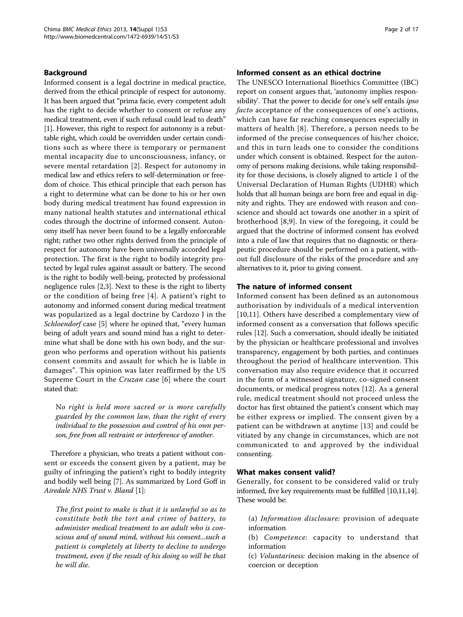## Background

Informed consent is a legal doctrine in medical practice, derived from the ethical principle of respect for autonomy. It has been argued that "prima facie, every competent adult has the right to decide whether to consent or refuse any medical treatment, even if such refusal could lead to death" [[1\]](#page-15-0). However, this right to respect for autonomy is a rebuttable right, which could be overridden under certain conditions such as where there is temporary or permanent mental incapacity due to unconsciousness, infancy, or severe mental retardation [[2\]](#page-15-0). Respect for autonomy in medical law and ethics refers to self-determination or freedom of choice. This ethical principle that each person has a right to determine what can be done to his or her own body during medical treatment has found expression in many national health statutes and international ethical codes through the doctrine of informed consent. Autonomy itself has never been found to be a legally enforceable right; rather two other rights derived from the principle of respect for autonomy have been universally accorded legal protection. The first is the right to bodily integrity protected by legal rules against assault or battery. The second is the right to bodily well-being, protected by professional negligence rules [\[2,3](#page-15-0)]. Next to these is the right to liberty or the condition of being free [[4](#page-15-0)]. A patient's right to autonomy and informed consent during medical treatment was popularized as a legal doctrine by Cardozo J in the Schloendorf case [\[5\]](#page-15-0) where he opined that, "every human being of adult years and sound mind has a right to determine what shall be done with his own body, and the surgeon who performs and operation without his patients consent commits and assault for which he is liable in damages". This opinion was later reaffirmed by the US Supreme Court in the Cruzan case [[6\]](#page-15-0) where the court stated that:

No right is held more sacred or is more carefully guarded by the common law, than the right of every individual to the possession and control of his own person, free from all restraint or interference of another.

Therefore a physician, who treats a patient without consent or exceeds the consent given by a patient, may be guilty of infringing the patient's right to bodily integrity and bodily well being [[7\]](#page-15-0). As summarized by Lord Goff in Airedale NHS Trust v. Bland [\[1](#page-15-0)]:

The first point to make is that it is unlawful so as to constitute both the tort and crime of battery, to administer medical treatment to an adult who is conscious and of sound mind, without his consent...such a patient is completely at liberty to decline to undergo treatment, even if the result of his doing so will be that he will die.

#### Informed consent as an ethical doctrine

The UNESCO International Bioethics Committee (IBC) report on consent argues that, 'autonomy implies responsibility'. That the power to decide for one's self entails ipso facto acceptance of the consequences of one's actions, which can have far reaching consequences especially in matters of health [[8](#page-15-0)]. Therefore, a person needs to be informed of the precise consequences of his/her choice, and this in turn leads one to consider the conditions under which consent is obtained. Respect for the autonomy of persons making decisions, while taking responsibility for those decisions, is closely aligned to article 1 of the Universal Declaration of Human Rights (UDHR) which holds that all human beings are born free and equal in dignity and rights. They are endowed with reason and conscience and should act towards one another in a spirit of brotherhood [\[8](#page-15-0),[9\]](#page-15-0). In view of the foregoing, it could be argued that the doctrine of informed consent has evolved into a rule of law that requires that no diagnostic or therapeutic procedure should be performed on a patient, without full disclosure of the risks of the procedure and any alternatives to it, prior to giving consent.

## The nature of informed consent

Informed consent has been defined as an autonomous authorisation by individuals of a medical intervention [[10,11](#page-15-0)]. Others have described a complementary view of informed consent as a conversation that follows specific rules [\[12](#page-15-0)]. Such a conversation, should ideally be initiated by the physician or healthcare professional and involves transparency, engagement by both parties, and continues throughout the period of healthcare intervention. This conversation may also require evidence that it occurred in the form of a witnessed signature, co-signed consent documents, or medical progress notes [[12\]](#page-15-0). As a general rule, medical treatment should not proceed unless the doctor has first obtained the patient's consent which may be either express or implied. The consent given by a patient can be withdrawn at anytime [[13](#page-15-0)] and could be vitiated by any change in circumstances, which are not communicated to and approved by the individual consenting.

#### What makes consent valid?

Generally, for consent to be considered valid or truly informed, five key requirements must be fulfilled [\[10,11,14](#page-15-0)]. These would be:

(a) Information disclosure: provision of adequate information

(b) Competence: capacity to understand that information

(c) Voluntariness: decision making in the absence of coercion or deception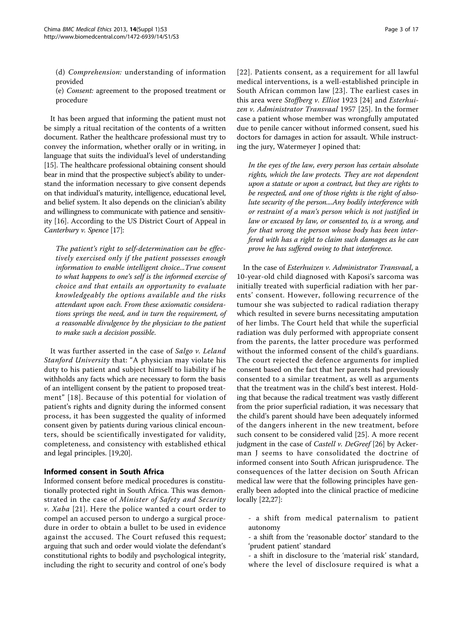(d) Comprehension: understanding of information provided

(e) Consent: agreement to the proposed treatment or procedure

It has been argued that informing the patient must not be simply a ritual recitation of the contents of a written document. Rather the healthcare professional must try to convey the information, whether orally or in writing, in language that suits the individual's level of understanding [[15](#page-15-0)]. The healthcare professional obtaining consent should bear in mind that the prospective subject's ability to understand the information necessary to give consent depends on that individual's maturity, intelligence, educational level, and belief system. It also depends on the clinician's ability and willingness to communicate with patience and sensitivity [[16\]](#page-15-0). According to the US District Court of Appeal in Canterbury v. Spence [\[17\]](#page-15-0):

The patient's right to self-determination can be effectively exercised only if the patient possesses enough information to enable intelligent choice...True consent to what happens to one's self is the informed exercise of choice and that entails an opportunity to evaluate knowledgeably the options available and the risks attendant upon each. From these axiomatic considerations springs the need, and in turn the requirement, of a reasonable divulgence by the physician to the patient to make such a decision possible.

It was further asserted in the case of Salgo v. Leland Stanford University that: "A physician may violate his duty to his patient and subject himself to liability if he withholds any facts which are necessary to form the basis of an intelligent consent by the patient to proposed treatment" [[18](#page-15-0)]. Because of this potential for violation of patient's rights and dignity during the informed consent process, it has been suggested the quality of informed consent given by patients during various clinical encounters, should be scientifically investigated for validity, completeness, and consistency with established ethical and legal principles. [\[19,20\]](#page-15-0).

#### Informed consent in South Africa

Informed consent before medical procedures is constitutionally protected right in South Africa. This was demonstrated in the case of Minister of Safety and Security *v. Xaba* [[21](#page-15-0)]. Here the police wanted a court order to compel an accused person to undergo a surgical procedure in order to obtain a bullet to be used in evidence against the accused. The Court refused this request; arguing that such and order would violate the defendant's constitutional rights to bodily and psychological integrity, including the right to security and control of one's body [[22\]](#page-15-0). Patients consent, as a requirement for all lawful medical interventions, is a well-established principle in South African common law [[23](#page-15-0)]. The earliest cases in this area were Stoffberg v. Elliot 1923 [\[24](#page-15-0)] and Esterhuizen v. Administrator Transvaal 1957 [[25](#page-15-0)]. In the former case a patient whose member was wrongfully amputated due to penile cancer without informed consent, sued his doctors for damages in action for assault. While instructing the jury, Watermeyer J opined that:

In the eyes of the law, every person has certain absolute rights, which the law protects. They are not dependent upon a statute or upon a contract, but they are rights to be respected, and one of those rights is the right of absolute security of the person....Any bodily interference with or restraint of a man's person which is not justified in law or excused by law, or consented to, is a wrong, and for that wrong the person whose body has been interfered with has a right to claim such damages as he can prove he has suffered owing to that interference.

In the case of Esterhuizen v. Administrator Transvaal, a 10-year-old child diagnosed with Kaposi's sarcoma was initially treated with superficial radiation with her parents' consent. However, following recurrence of the tumour she was subjected to radical radiation therapy which resulted in severe burns necessitating amputation of her limbs. The Court held that while the superficial radiation was duly performed with appropriate consent from the parents, the latter procedure was performed without the informed consent of the child's guardians. The court rejected the defence arguments for implied consent based on the fact that her parents had previously consented to a similar treatment, as well as arguments that the treatment was in the child's best interest. Holding that because the radical treatment was vastly different from the prior superficial radiation, it was necessary that the child's parent should have been adequately informed of the dangers inherent in the new treatment, before such consent to be considered valid [[25\]](#page-15-0). A more recent judgment in the case of *Castell v. DeGreef* [[26](#page-15-0)] by Ackerman J seems to have consolidated the doctrine of informed consent into South African jurisprudence. The consequences of the latter decision on South African medical law were that the following principles have generally been adopted into the clinical practice of medicine locally [\[22,27](#page-15-0)]:

- a shift from medical paternalism to patient autonomy

- a shift from the 'reasonable doctor' standard to the 'prudent patient' standard
- a shift in disclosure to the 'material risk' standard, where the level of disclosure required is what a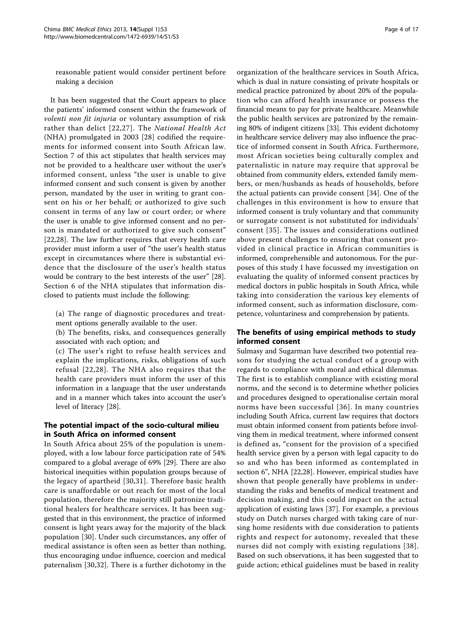reasonable patient would consider pertinent before making a decision

It has been suggested that the Court appears to place the patients' informed consent within the framework of volenti non fit injuria or voluntary assumption of risk rather than delict [[22](#page-15-0),[27\]](#page-15-0). The National Health Act (NHA) promulgated in 2003 [\[28\]](#page-15-0) codified the requirements for informed consent into South African law. Section 7 of this act stipulates that health services may not be provided to a healthcare user without the user's informed consent, unless "the user is unable to give informed consent and such consent is given by another person, mandated by the user in writing to grant consent on his or her behalf; or authorized to give such consent in terms of any law or court order; or where the user is unable to give informed consent and no person is mandated or authorized to give such consent" [[22,28](#page-15-0)]. The law further requires that every health care provider must inform a user of "the user's health status except in circumstances where there is substantial evidence that the disclosure of the user's health status would be contrary to the best interests of the user" [\[28](#page-15-0)]. Section 6 of the NHA stipulates that information disclosed to patients must include the following:

(a) The range of diagnostic procedures and treatment options generally available to the user.

(b) The benefits, risks, and consequences generally associated with each option; and

(c) The user's right to refuse health services and explain the implications, risks, obligations of such refusal [\[22](#page-15-0),[28\]](#page-15-0). The NHA also requires that the health care providers must inform the user of this information in a language that the user understands and in a manner which takes into account the user's level of literacy [\[28\]](#page-15-0).

## The potential impact of the socio-cultural milieu in South Africa on informed consent

In South Africa about 25% of the population is unemployed, with a low labour force participation rate of 54% compared to a global average of 69% [[29\]](#page-15-0). There are also historical inequities within population groups because of the legacy of apartheid [[30,31\]](#page-15-0). Therefore basic health care is unaffordable or out reach for most of the local population, therefore the majority still patronize traditional healers for healthcare services. It has been suggested that in this environment, the practice of informed consent is light years away for the majority of the black population [\[30](#page-15-0)]. Under such circumstances, any offer of medical assistance is often seen as better than nothing, thus encouraging undue influence, coercion and medical paternalism [[30,32](#page-15-0)]. There is a further dichotomy in the

organization of the healthcare services in South Africa, which is dual in nature consisting of private hospitals or medical practice patronized by about 20% of the population who can afford health insurance or possess the financial means to pay for private healthcare. Meanwhile the public health services are patronized by the remaining 80% of indigent citizens [\[33](#page-15-0)]. This evident dichotomy in healthcare service delivery may also influence the practice of informed consent in South Africa. Furthermore, most African societies being culturally complex and paternalistic in nature may require that approval be obtained from community elders, extended family members, or men/husbands as heads of households, before the actual patients can provide consent [[34](#page-15-0)]. One of the challenges in this environment is how to ensure that informed consent is truly voluntary and that community or surrogate consent is not substituted for individuals' consent [[35](#page-15-0)]. The issues and considerations outlined above present challenges to ensuring that consent provided in clinical practice in African communities is informed, comprehensible and autonomous. For the purposes of this study I have focussed my investigation on evaluating the quality of informed consent practices by medical doctors in public hospitals in South Africa, while taking into consideration the various key elements of informed consent, such as information disclosure, competence, voluntariness and comprehension by patients.

## The benefits of using empirical methods to study informed consent

Sulmasy and Sugarman have described two potential reasons for studying the actual conduct of a group with regards to compliance with moral and ethical dilemmas. The first is to establish compliance with existing moral norms, and the second is to determine whether policies and procedures designed to operationalise certain moral norms have been successful [[36](#page-15-0)]. In many countries including South Africa, current law requires that doctors must obtain informed consent from patients before involving them in medical treatment, where informed consent is defined as, "consent for the provision of a specified health service given by a person with legal capacity to do so and who has been informed as contemplated in section 6", NHA [\[22,28](#page-15-0)]. However, empirical studies have shown that people generally have problems in understanding the risks and benefits of medical treatment and decision making, and this could impact on the actual application of existing laws [\[37](#page-16-0)]. For example, a previous study on Dutch nurses charged with taking care of nursing home residents with due consideration to patients rights and respect for autonomy, revealed that these nurses did not comply with existing regulations [\[38\]](#page-16-0). Based on such observations, it has been suggested that to guide action; ethical guidelines must be based in reality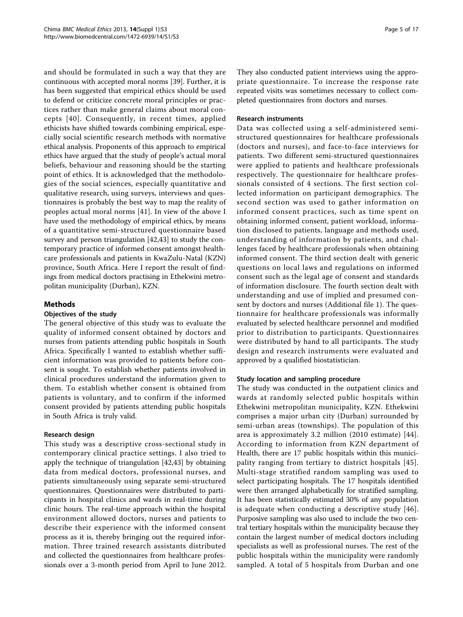and should be formulated in such a way that they are continuous with accepted moral norms [\[39](#page-16-0)]. Further, it is has been suggested that empirical ethics should be used to defend or criticize concrete moral principles or practices rather than make general claims about moral concepts [[40](#page-16-0)]. Consequently, in recent times, applied ethicists have shifted towards combining empirical, especially social scientific research methods with normative ethical analysis. Proponents of this approach to empirical ethics have argued that the study of people's actual moral beliefs, behaviour and reasoning should be the starting point of ethics. It is acknowledged that the methodologies of the social sciences, especially quantitative and qualitative research, using surveys, interviews and questionnaires is probably the best way to map the reality of peoples actual moral norms [[41](#page-16-0)]. In view of the above I have used the methodology of empirical ethics, by means of a quantitative semi-structured questionnaire based survey and person triangulation [[42](#page-16-0),[43](#page-16-0)] to study the contemporary practice of informed consent amongst healthcare professionals and patients in KwaZulu-Natal (KZN) province, South Africa. Here I report the result of findings from medical doctors practising in Ethekwini metropolitan municipality (Durban), KZN.

## Methods

## Objectives of the study

The general objective of this study was to evaluate the quality of informed consent obtained by doctors and nurses from patients attending public hospitals in South Africa. Specifically I wanted to establish whether sufficient information was provided to patients before consent is sought. To establish whether patients involved in clinical procedures understand the information given to them. To establish whether consent is obtained from patients is voluntary, and to confirm if the informed consent provided by patients attending public hospitals in South Africa is truly valid.

## Research design

This study was a descriptive cross-sectional study in contemporary clinical practice settings. I also tried to apply the technique of triangulation [\[42,43\]](#page-16-0) by obtaining data from medical doctors, professional nurses, and patients simultaneously using separate semi-structured questionnaires. Questionnaires were distributed to participants in hospital clinics and wards in real-time during clinic hours. The real-time approach within the hospital environment allowed doctors, nurses and patients to describe their experience with the informed consent process as it is, thereby bringing out the required information. Three trained research assistants distributed and collected the questionnaires from healthcare professionals over a 3-month period from April to June 2012. They also conducted patient interviews using the appropriate questionnaire. To increase the response rate repeated visits was sometimes necessary to collect completed questionnaires from doctors and nurses.

#### Research instruments

Data was collected using a self-administered semistructured questionnaires for healthcare professionals (doctors and nurses), and face-to-face interviews for patients. Two different semi-structured questionnaires were applied to patients and healthcare professionals respectively. The questionnaire for healthcare professionals consisted of 4 sections. The first section collected information on participant demographics. The second section was used to gather information on informed consent practices, such as time spent on obtaining informed consent, patient workload, information disclosed to patients, language and methods used, understanding of information by patients, and challenges faced by healthcare professionals when obtaining informed consent. The third section dealt with generic questions on local laws and regulations on informed consent such as the legal age of consent and standards of information disclosure. The fourth section dealt with understanding and use of implied and presumed consent by doctors and nurses (Additional file [1\)](#page-15-0). The questionnaire for healthcare professionals was informally evaluated by selected healthcare personnel and modified prior to distribution to participants. Questionnaires were distributed by hand to all participants. The study design and research instruments were evaluated and approved by a qualified biostatistician.

#### Study location and sampling procedure

The study was conducted in the outpatient clinics and wards at randomly selected public hospitals within Ethekwini metropolitan municipality, KZN. Ethekwini comprises a major urban city (Durban) surrounded by semi-urban areas (townships). The population of this area is approximately 3.2 million (2010 estimate) [[44\]](#page-16-0). According to information from KZN department of Health, there are 17 public hospitals within this municipality ranging from tertiary to district hospitals [[45\]](#page-16-0). Multi-stage stratified random sampling was used to select participating hospitals. The 17 hospitals identified were then arranged alphabetically for stratified sampling. It has been statistically estimated 30% of any population is adequate when conducting a descriptive study [[46](#page-16-0)]. Purposive sampling was also used to include the two central tertiary hospitals within the municipality because they contain the largest number of medical doctors including specialists as well as professional nurses. The rest of the public hospitals within the municipality were randomly sampled. A total of 5 hospitals from Durban and one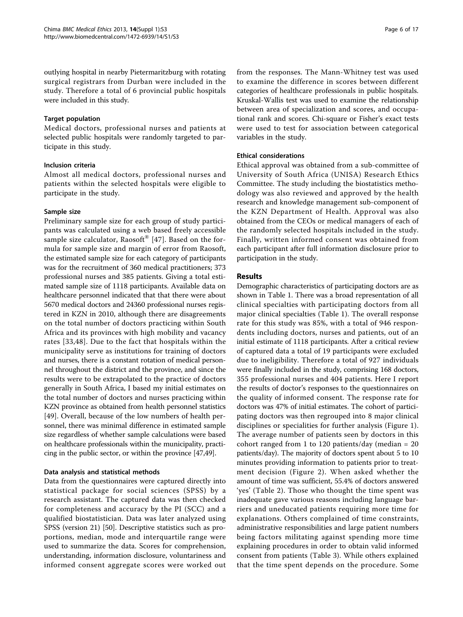outlying hospital in nearby Pietermaritzburg with rotating surgical registrars from Durban were included in the study. Therefore a total of 6 provincial public hospitals were included in this study.

## Target population

Medical doctors, professional nurses and patients at selected public hospitals were randomly targeted to participate in this study.

#### Inclusion criteria

Almost all medical doctors, professional nurses and patients within the selected hospitals were eligible to participate in the study.

## Sample size

Preliminary sample size for each group of study participants was calculated using a web based freely accessible sample size calculator, Raosoft<sup>®</sup> [\[47\]](#page-16-0). Based on the formula for sample size and margin of error from Raosoft, the estimated sample size for each category of participants was for the recruitment of 360 medical practitioners; 373 professional nurses and 385 patients. Giving a total estimated sample size of 1118 participants. Available data on healthcare personnel indicated that that there were about 5670 medical doctors and 24360 professional nurses registered in KZN in 2010, although there are disagreements on the total number of doctors practicing within South Africa and its provinces with high mobility and vacancy rates [[33](#page-15-0),[48](#page-16-0)]. Due to the fact that hospitals within the municipality serve as institutions for training of doctors and nurses, there is a constant rotation of medical personnel throughout the district and the province, and since the results were to be extrapolated to the practice of doctors generally in South Africa, I based my initial estimates on the total number of doctors and nurses practicing within KZN province as obtained from health personnel statistics [[49\]](#page-16-0). Overall, because of the low numbers of health personnel, there was minimal difference in estimated sample size regardless of whether sample calculations were based on healthcare professionals within the municipality, practicing in the public sector, or within the province [\[47,49](#page-16-0)].

## Data analysis and statistical methods

Data from the questionnaires were captured directly into statistical package for social sciences (SPSS) by a research assistant. The captured data was then checked for completeness and accuracy by the PI (SCC) and a qualified biostatistician. Data was later analyzed using SPSS (version 21) [\[50\]](#page-16-0). Descriptive statistics such as proportions, median, mode and interquartile range were used to summarize the data. Scores for comprehension, understanding, information disclosure, voluntariness and informed consent aggregate scores were worked out from the responses. The Mann-Whitney test was used to examine the difference in scores between different categories of healthcare professionals in public hospitals. Kruskal-Wallis test was used to examine the relationship between area of specialization and scores, and occupational rank and scores. Chi-square or Fisher's exact tests were used to test for association between categorical variables in the study.

## Ethical considerations

Ethical approval was obtained from a sub-committee of University of South Africa (UNISA) Research Ethics Committee. The study including the biostatistics methodology was also reviewed and approved by the health research and knowledge management sub-component of the KZN Department of Health. Approval was also obtained from the CEOs or medical managers of each of the randomly selected hospitals included in the study. Finally, written informed consent was obtained from each participant after full information disclosure prior to participation in the study.

## Results

Demographic characteristics of participating doctors are as shown in Table [1.](#page-6-0) There was a broad representation of all clinical specialties with participating doctors from all major clinical specialties (Table [1\)](#page-6-0). The overall response rate for this study was 85%, with a total of 946 respondents including doctors, nurses and patients, out of an initial estimate of 1118 participants. After a critical review of captured data a total of 19 participants were excluded due to ineligibility. Therefore a total of 927 individuals were finally included in the study, comprising 168 doctors, 355 professional nurses and 404 patients. Here I report the results of doctor's responses to the questionnaires on the quality of informed consent. The response rate for doctors was 47% of initial estimates. The cohort of participating doctors was then regrouped into 8 major clinical disciplines or specialities for further analysis (Figure [1](#page-6-0)). The average number of patients seen by doctors in this cohort ranged from 1 to 120 patients/day (median  $= 20$ patients/day). The majority of doctors spent about 5 to 10 minutes providing information to patients prior to treatment decision (Figure [2](#page-6-0)). When asked whether the amount of time was sufficient, 55.4% of doctors answered 'yes' (Table [2](#page-7-0)). Those who thought the time spent was inadequate gave various reasons including language barriers and uneducated patients requiring more time for explanations. Others complained of time constraints, administrative responsibilities and large patient numbers being factors militating against spending more time explaining procedures in order to obtain valid informed consent from patients (Table [3](#page-7-0)). While others explained that the time spent depends on the procedure. Some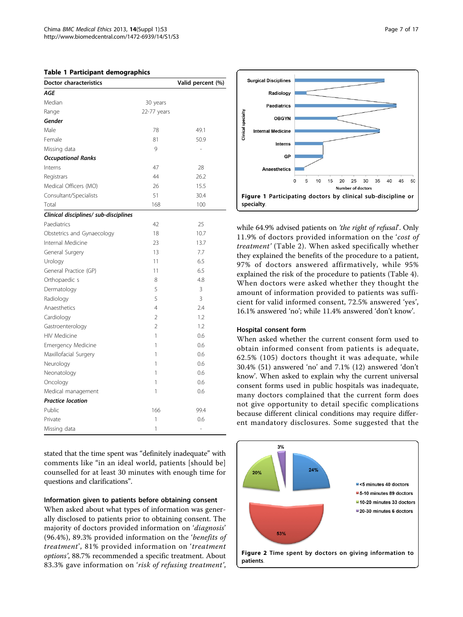<span id="page-6-0"></span>

|  |  | Table 1 Participant demographics |
|--|--|----------------------------------|
|--|--|----------------------------------|

| <b>Doctor characteristics</b>         |                | Valid percent (%) |
|---------------------------------------|----------------|-------------------|
| AGE                                   |                |                   |
| Median                                | 30 years       |                   |
| Range                                 | 22-77 years    |                   |
| Gender                                |                |                   |
| Male                                  | 78             | 49.1              |
| Female                                | 81             | 50.9              |
| Missing data                          | 9              | L,                |
| <b>Occupational Ranks</b>             |                |                   |
| Interns                               | 47             | 28                |
| Registrars                            | 44             | 26.2              |
| Medical Officers (MO)                 | 26             | 15.5              |
| Consultant/Specialists                | 51             | 30.4              |
| Total                                 | 168            | 100               |
| Clinical disciplines/ sub-disciplines |                |                   |
| Paediatrics                           | 42             | 25                |
| Obstetrics and Gynaecology            | 18             | 10.7              |
| Internal Medicine                     | 23             | 13.7              |
| General Surgery                       | 13             | 7.7               |
| Urology                               | 11             | 6.5               |
| General Practice (GP)                 | 11             | 6.5               |
| Orthopaedic s                         | 8              | 4.8               |
| Dermatology                           | 5              | 3                 |
| Radiology                             | 5              | 3                 |
| Anaesthetics                          | 4              | 2.4               |
| Cardiology                            | $\overline{2}$ | 1.2               |
| Gastroenterology                      | $\overline{2}$ | 1.2               |
| HIV Medicine                          | 1              | 0.6               |
| Emergency Medicine                    | 1              | 0.6               |
| Maxillofacial Surgery                 | 1              | 0.6               |
| Neurology                             | 1              | 0.6               |
| Neonatology                           | 1              | 0.6               |
| Oncology                              | 1              | 0.6               |
| Medical management                    | 1              | 0.6               |
| <b>Practice location</b>              |                |                   |
| Public                                | 166            | 99.4              |
| Private                               | 1              | 0.6               |
| Missing data                          | 1              | L,                |

stated that the time spent was "definitely inadequate" with comments like "in an ideal world, patients [should be] counselled for at least 30 minutes with enough time for questions and clarifications".

#### Information given to patients before obtaining consent

When asked about what types of information was generally disclosed to patients prior to obtaining consent. The majority of doctors provided information on 'diagnosis' (96.4%), 89.3% provided information on the 'benefits of treatment', 81% provided information on 'treatment options', 88.7% recommended a specific treatment. About 83.3% gave information on 'risk of refusing treatment',



while 64.9% advised patients on 'the right of refusal'. Only 11.9% of doctors provided information on the 'cost of treatment' (Table [2](#page-7-0)). When asked specifically whether they explained the benefits of the procedure to a patient, 97% of doctors answered affirmatively, while 95% explained the risk of the procedure to patients (Table [4](#page-8-0)). When doctors were asked whether they thought the amount of information provided to patients was sufficient for valid informed consent, 72.5% answered 'yes', 16.1% answered 'no'; while 11.4% answered 'don't know'.

#### Hospital consent form

When asked whether the current consent form used to obtain informed consent from patients is adequate, 62.5% (105) doctors thought it was adequate, while 30.4% (51) answered 'no' and 7.1% (12) answered 'don't know'. When asked to explain why the current universal consent forms used in public hospitals was inadequate, many doctors complained that the current form does not give opportunity to detail specific complications because different clinical conditions may require different mandatory disclosures. Some suggested that the

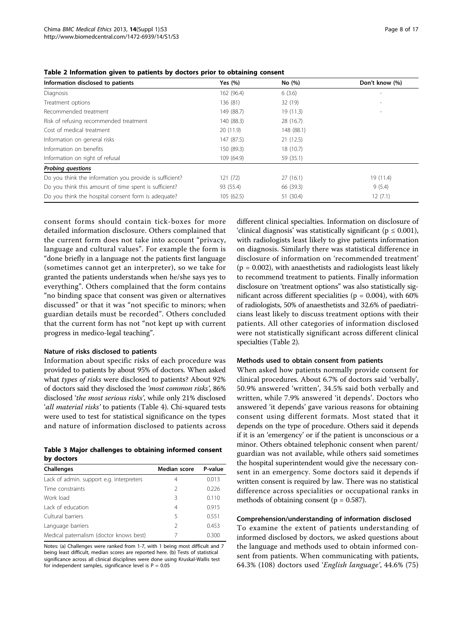| Information disclosed to patients                       | Yes $(% )$ | No (%)     | Don't know (%) |
|---------------------------------------------------------|------------|------------|----------------|
| Diagnosis                                               | 162 (96.4) | 6(3.6)     |                |
| Treatment options                                       | 136 (81)   | 32 (19)    |                |
| Recommended treatment                                   | 149 (88.7) | 19 (11.3)  |                |
| Risk of refusing recommended treatment                  | 140 (88.3) | 28 (16.7)  |                |
| Cost of medical treatment                               | 20 (11.9)  | 148 (88.1) |                |
| Information on general risks                            | 147 (87.5) | 21(12.5)   |                |
| Information on benefits                                 | 150 (89.3) | 18 (10.7)  |                |
| Information on right of refusal                         | 109 (64.9) | 59 (35.1)  |                |
| <b>Probing questions</b>                                |            |            |                |
| Do you think the information you provide is sufficient? | 121(72)    | 27(16.1)   | 19 (11.4)      |
| Do you think this amount of time spent is sufficient?   | 93 (55.4)  | 66 (39.3)  | 9(5.4)         |
| Do you think the hospital consent form is adequate?     | 105(62.5)  | 51 (30.4)  | 12(7.1)        |

<span id="page-7-0"></span>Table 2 Information given to patients by doctors prior to obtaining consent

consent forms should contain tick-boxes for more detailed information disclosure. Others complained that the current form does not take into account "privacy, language and cultural values". For example the form is "done briefly in a language not the patients first language (sometimes cannot get an interpreter), so we take for granted the patients understands when he/she says yes to everything". Others complained that the form contains "no binding space that consent was given or alternatives discussed" or that it was "not specific to minors; when guardian details must be recorded". Others concluded that the current form has not "not kept up with current progress in medico-legal teaching".

#### Nature of risks disclosed to patients

Information about specific risks of each procedure was provided to patients by about 95% of doctors. When asked what types of risks were disclosed to patients? About 92% of doctors said they disclosed the 'most common risks', 86% disclosed 'the most serious risks', while only 21% disclosed 'all material risks' to patients (Table [4\)](#page-8-0). Chi-squared tests were used to test for statistical significance on the types and nature of information disclosed to patients across

#### Table 3 Major challenges to obtaining informed consent by doctors

| Challenges                               | Median score | P-value |
|------------------------------------------|--------------|---------|
| Lack of admin. support e.g. interpreters | 4            | 0.013   |
| Time constraints                         | 2            | 0.226   |
| Work load                                | 3            | 0.110   |
| Lack of education                        | 4            | 0.915   |
| Cultural barriers                        | 5            | 0.551   |
| Language barriers                        | 2            | 0.453   |
| Medical paternalism (doctor knows best)  | 7            | 0.300   |

Notes: (a) Challenges were ranked from 1-7, with 1 being most difficult and 7 being least difficult, median scores are reported here. (b) Tests of statistical significance across all clinical disciplines were done using Kruskal-Wallis test for independent samples, significance level is  $P = 0.05$ 

different clinical specialties. Information on disclosure of 'clinical diagnosis' was statistically significant ( $p \le 0.001$ ), with radiologists least likely to give patients information on diagnosis. Similarly there was statistical difference in disclosure of information on 'recommended treatment'  $(p = 0.002)$ , with anaesthetists and radiologists least likely to recommend treatment to patients. Finally information disclosure on 'treatment options" was also statistically significant across different specialities ( $p = 0.004$ ), with 60% of radiologists, 50% of anaesthetists and 32.6% of paediatricians least likely to discuss treatment options with their patients. All other categories of information disclosed were not statistically significant across different clinical specialties (Table 2).

#### Methods used to obtain consent from patients

When asked how patients normally provide consent for clinical procedures. About 6.7% of doctors said 'verbally', 50.9% answered 'written', 34.5% said both verbally and written, while 7.9% answered 'it depends'. Doctors who answered 'it depends' gave various reasons for obtaining consent using different formats. Most stated that it depends on the type of procedure. Others said it depends if it is an 'emergency' or if the patient is unconscious or a minor. Others obtained telephonic consent when parent/ guardian was not available, while others said sometimes the hospital superintendent would give the necessary consent in an emergency. Some doctors said it depends if written consent is required by law. There was no statistical difference across specialities or occupational ranks in methods of obtaining consent ( $p = 0.587$ ).

#### Comprehension/understanding of information disclosed

To examine the extent of patients understanding of informed disclosed by doctors, we asked questions about the language and methods used to obtain informed consent from patients. When communicating with patients, 64.3% (108) doctors used 'English language', 44.6% (75)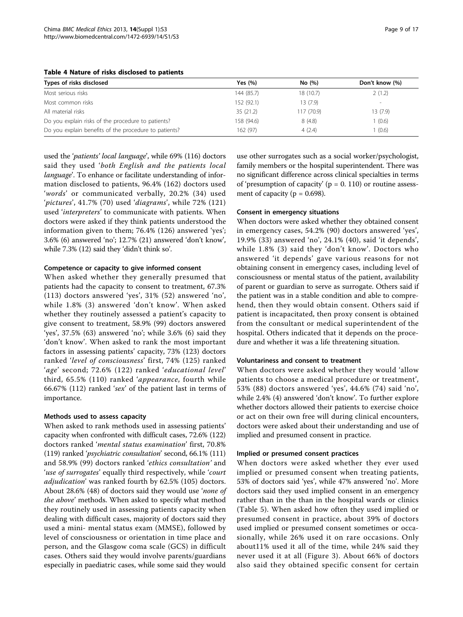<span id="page-8-0"></span>

| Table 4 Nature of risks disclosed to patients |  |  |  |  |  |
|-----------------------------------------------|--|--|--|--|--|
|-----------------------------------------------|--|--|--|--|--|

| Types of risks disclosed                              | Yes $(% )$ | No (%)     | Don't know (%) |
|-------------------------------------------------------|------------|------------|----------------|
| Most serious risks                                    | 144 (85.7) | 18 (10.7)  | 2(1.2)         |
| Most common risks                                     | 152 (92.1) | 13(7.9)    | $\sim$         |
| All material risks                                    | 35(21.2)   | 117 (70.9) | 13(7.9)        |
| Do you explain risks of the procedure to patients?    | 158 (94.6) | 8(4.8)     | 1(0.6)         |
| Do you explain benefits of the procedure to patients? | 162 (97)   | 4(2.4)     | 1(0.6)         |

used the 'patients' local language', while 69% (116) doctors said they used 'both English and the patients local language'. To enhance or facilitate understanding of information disclosed to patients, 96.4% (162) doctors used 'words' or communicated verbally, 20.2% (34) used 'pictures', 41.7% (70) used 'diagrams', while 72% (121) used 'interpreters' to communicate with patients. When doctors were asked if they think patients understood the information given to them; 76.4% (126) answered 'yes'; 3.6% (6) answered 'no'; 12.7% (21) answered 'don't know', while 7.3% (12) said they 'didn't think so'.

#### Competence or capacity to give informed consent

When asked whether they generally presumed that patients had the capacity to consent to treatment, 67.3% (113) doctors answered 'yes', 31% (52) answered 'no', while 1.8% (3) answered 'don't know'. When asked whether they routinely assessed a patient's capacity to give consent to treatment, 58.9% (99) doctors answered 'yes', 37.5% (63) answered 'no'; while 3.6% (6) said they 'don't know'. When asked to rank the most important factors in assessing patients' capacity, 73% (123) doctors ranked 'level of consciousness' first, 74% (125) ranked 'age' second; 72.6% (122) ranked 'educational level' third, 65.5% (110) ranked 'appearance, fourth while 66.67% (112) ranked 'sex' of the patient last in terms of importance.

#### Methods used to assess capacity

When asked to rank methods used in assessing patients' capacity when confronted with difficult cases, 72.6% (122) doctors ranked 'mental status examination' first, 70.8% (119) ranked 'psychiatric consultation' second, 66.1% (111) and 58.9% (99) doctors ranked 'ethics consultation' and 'use of surrogates' equally third respectively, while 'court adjudication' was ranked fourth by 62.5% (105) doctors. About 28.6% (48) of doctors said they would use 'none of the above' methods. When asked to specify what method they routinely used in assessing patients capacity when dealing with difficult cases, majority of doctors said they used a mini- mental status exam (MMSE), followed by level of consciousness or orientation in time place and person, and the Glasgow coma scale (GCS) in difficult cases. Others said they would involve parents/guardians especially in paediatric cases, while some said they would

use other surrogates such as a social worker/psychologist, family members or the hospital superintendent. There was no significant difference across clinical specialties in terms of 'presumption of capacity' ( $p = 0.110$ ) or routine assessment of capacity ( $p = 0.698$ ).

## Consent in emergency situations

When doctors were asked whether they obtained consent in emergency cases, 54.2% (90) doctors answered 'yes', 19.9% (33) answered 'no', 24.1% (40), said 'it depends', while 1.8% (3) said they 'don't know'. Doctors who answered 'it depends' gave various reasons for not obtaining consent in emergency cases, including level of consciousness or mental status of the patient, availability of parent or guardian to serve as surrogate. Others said if the patient was in a stable condition and able to comprehend, then they would obtain consent. Others said if patient is incapacitated, then proxy consent is obtained from the consultant or medical superintendent of the hospital. Others indicated that it depends on the procedure and whether it was a life threatening situation.

## Voluntariness and consent to treatment

When doctors were asked whether they would 'allow patients to choose a medical procedure or treatment', 53% (88) doctors answered 'yes', 44.6% (74) said 'no', while 2.4% (4) answered 'don't know'. To further explore whether doctors allowed their patients to exercise choice or act on their own free will during clinical encounters, doctors were asked about their understanding and use of implied and presumed consent in practice.

## Implied or presumed consent practices

When doctors were asked whether they ever used implied or presumed consent when treating patients, 53% of doctors said 'yes', while 47% answered 'no'. More doctors said they used implied consent in an emergency rather than in the than in the hospital wards or clinics (Table [5](#page-9-0)). When asked how often they used implied or presumed consent in practice, about 39% of doctors used implied or presumed consent sometimes or occasionally, while 26% used it on rare occasions. Only about11% used it all of the time, while 24% said they never used it at all (Figure [3](#page-9-0)). About 66% of doctors also said they obtained specific consent for certain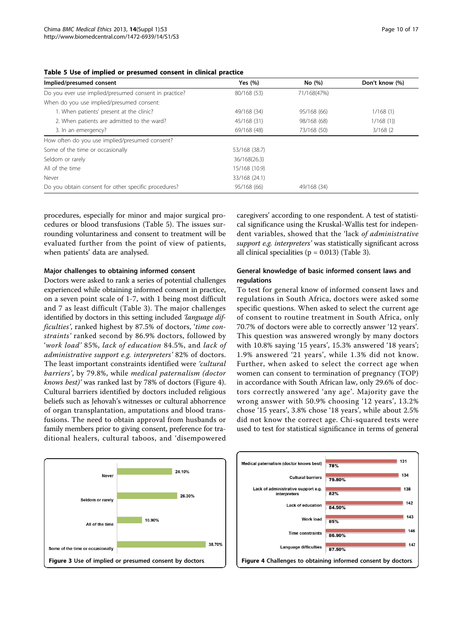| Implied/presumed consent                              | Yes $(% )$    | No (%)      | Don't know (%) |  |
|-------------------------------------------------------|---------------|-------------|----------------|--|
| Do you ever use implied/presumed consent in practice? | 80/168 (53)   | 71/168(47%) |                |  |
| When do you use implied/presumed consent:             |               |             |                |  |
| 1. When patients' present at the clinic?              | 49/168 (34)   | 95/168 (66) | 1/168(1)       |  |
| 2. When patients are admitted to the ward?            | 45/168 (31)   | 98/168 (68) | 1/168(1)       |  |
| 3. In an emergency?                                   | 69/168 (48)   | 73/168 (50) | 3/168(2)       |  |
| How often do you use implied/presumed consent?        |               |             |                |  |
| Some of the time or occasionally                      | 53/168 (38.7) |             |                |  |
| Seldom or rarely                                      | 36/168(26.3)  |             |                |  |
| All of the time                                       | 15/168 (10.9) |             |                |  |
| Never                                                 | 33/168 (24.1) |             |                |  |
| Do you obtain consent for other specific procedures?  | 95/168 (66)   | 49/168 (34) |                |  |

<span id="page-9-0"></span>Table 5 Use of implied or presumed consent in clinical practice

procedures, especially for minor and major surgical procedures or blood transfusions (Table 5). The issues surrounding voluntariness and consent to treatment will be evaluated further from the point of view of patients, when patients' data are analysed.

#### Major challenges to obtaining informed consent

Doctors were asked to rank a series of potential challenges experienced while obtaining informed consent in practice, on a seven point scale of 1-7, with 1 being most difficult and 7 as least difficult (Table [3\)](#page-7-0). The major challenges identified by doctors in this setting included 'language difficulties', ranked highest by 87.5% of doctors, 'time constraints' ranked second by 86.9% doctors, followed by 'work load' 85%, lack of education 84.5%, and lack of administrative support e.g. interpreters' 82% of doctors. The least important constraints identified were 'cultural barriers', by 79.8%, while medical paternalism (doctor knows best)' was ranked last by 78% of doctors (Figure 4). Cultural barriers identified by doctors included religious beliefs such as Jehovah's witnesses or cultural abhorrence of organ transplantation, amputations and blood transfusions. The need to obtain approval from husbands or family members prior to giving consent, preference for traditional healers, cultural taboos, and 'disempowered



## General knowledge of basic informed consent laws and regulations

To test for general know of informed consent laws and regulations in South Africa, doctors were asked some specific questions. When asked to select the current age of consent to routine treatment in South Africa, only 70.7% of doctors were able to correctly answer '12 years'. This question was answered wrongly by many doctors with 10.8% saying '15 years', 15.3% answered '18 years'; 1.9% answered '21 years', while 1.3% did not know. Further, when asked to select the correct age when women can consent to termination of pregnancy (TOP) in accordance with South African law, only 29.6% of doctors correctly answered 'any age'. Majority gave the wrong answer with 50.9% choosing '12 years', 13.2% chose '15 years', 3.8% chose '18 years', while about 2.5% did not know the correct age. Chi-squared tests were used to test for statistical significance in terms of general



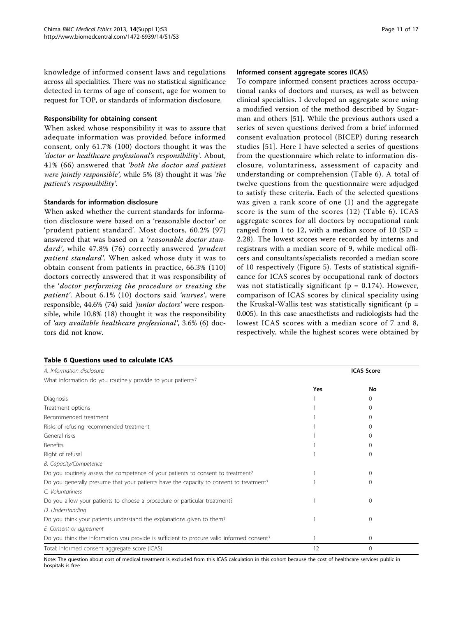knowledge of informed consent laws and regulations across all specialities. There was no statistical significance detected in terms of age of consent, age for women to request for TOP, or standards of information disclosure.

## Responsibility for obtaining consent

When asked whose responsibility it was to assure that adequate information was provided before informed consent, only 61.7% (100) doctors thought it was the 'doctor or healthcare professional's responsibility'. About, 41% (66) answered that 'both the doctor and patient were jointly responsible', while 5% (8) thought it was 'the patient's responsibility'.

## Standards for information disclosure

When asked whether the current standards for information disclosure were based on a 'reasonable doctor' or 'prudent patient standard'. Most doctors, 60.2% (97) answered that was based on a 'reasonable doctor standard', while 47.8% (76) correctly answered 'prudent patient standard'. When asked whose duty it was to obtain consent from patients in practice, 66.3% (110) doctors correctly answered that it was responsibility of the 'doctor performing the procedure or treating the patient'. About 6.1% (10) doctors said 'nurses', were responsible, 44.6% (74) said 'junior doctors' were responsible, while 10.8% (18) thought it was the responsibility of 'any available healthcare professional', 3.6% (6) doctors did not know.

#### Page 11 of 17

#### Informed consent aggregate scores (ICAS)

To compare informed consent practices across occupational ranks of doctors and nurses, as well as between clinical specialties. I developed an aggregate score using a modified version of the method described by Sugarman and others [[51\]](#page-16-0). While the previous authors used a series of seven questions derived from a brief informed consent evaluation protocol (BICEP) during research studies [[51](#page-16-0)]. Here I have selected a series of questions from the questionnaire which relate to information disclosure, voluntariness, assessment of capacity and understanding or comprehension (Table 6). A total of twelve questions from the questionnaire were adjudged to satisfy these criteria. Each of the selected questions was given a rank score of one (1) and the aggregate score is the sum of the scores (12) (Table 6). ICAS aggregate scores for all doctors by occupational rank ranged from 1 to 12, with a median score of 10 (SD = 2.28). The lowest scores were recorded by interns and registrars with a median score of 9, while medical officers and consultants/specialists recorded a median score of 10 respectively (Figure [5](#page-11-0)). Tests of statistical significance for ICAS scores by occupational rank of doctors was not statistically significant ( $p = 0.174$ ). However, comparison of ICAS scores by clinical speciality using the Kruskal-Wallis test was statistically significant ( $p =$ 0.005). In this case anaesthetists and radiologists had the lowest ICAS scores with a median score of 7 and 8, respectively, while the highest scores were obtained by

| A. Information disclosure:                                                                | <b>ICAS Score</b> |          |  |
|-------------------------------------------------------------------------------------------|-------------------|----------|--|
| What information do you routinely provide to your patients?                               |                   |          |  |
|                                                                                           | Yes               | No       |  |
| Diagnosis                                                                                 |                   | $^{(1)}$ |  |
| Treatment options                                                                         |                   |          |  |
| Recommended treatment                                                                     |                   |          |  |
| Risks of refusing recommended treatment                                                   |                   |          |  |
| General risks                                                                             |                   |          |  |
| <b>Benefits</b>                                                                           |                   |          |  |
| Right of refusal                                                                          |                   |          |  |
| B. Capacity/Competence                                                                    |                   |          |  |
| Do you routinely assess the competence of your patients to consent to treatment?          |                   |          |  |
| Do you generally presume that your patients have the capacity to consent to treatment?    |                   |          |  |
| C. Voluntariness                                                                          |                   |          |  |
| Do you allow your patients to choose a procedure or particular treatment?                 |                   | $\Omega$ |  |
| D. Understanding                                                                          |                   |          |  |
| Do you think your patients understand the explanations given to them?                     |                   | 0        |  |
| E. Consent or agreement                                                                   |                   |          |  |
| Do you think the information you provide is sufficient to procure valid informed consent? |                   | 0        |  |
| Total: Informed consent aggregate score (ICAS)                                            | 12                | 0        |  |

Note: The question about cost of medical treatment is excluded from this ICAS calculation in this cohort because the cost of healthcare services public in hospitals is free

#### Table 6 Questions used to calculate ICAS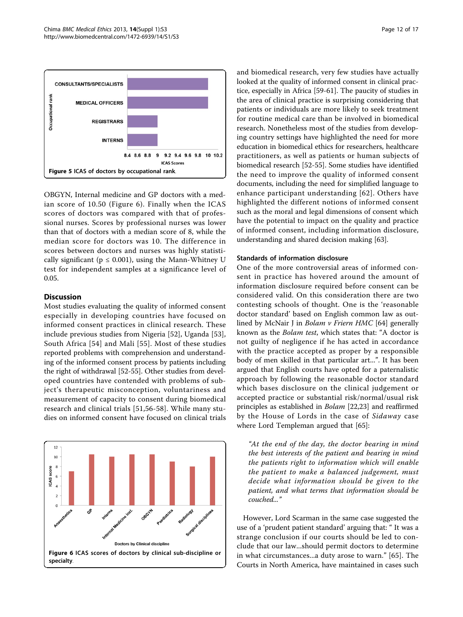<span id="page-11-0"></span>

OBGYN, Internal medicine and GP doctors with a median score of 10.50 (Figure 6). Finally when the ICAS scores of doctors was compared with that of professional nurses. Scores by professional nurses was lower than that of doctors with a median score of 8, while the median score for doctors was 10. The difference in scores between doctors and nurses was highly statistically significant ( $p \le 0.001$ ), using the Mann-Whitney U test for independent samples at a significance level of 0.05.

## **Discussion**

Most studies evaluating the quality of informed consent especially in developing countries have focused on informed consent practices in clinical research. These include previous studies from Nigeria [[52\]](#page-16-0), Uganda [\[53](#page-16-0)], South Africa [[54](#page-16-0)] and Mali [\[55\]](#page-16-0). Most of these studies reported problems with comprehension and understanding of the informed consent process by patients including the right of withdrawal [\[52-55](#page-16-0)]. Other studies from developed countries have contended with problems of subject's therapeutic misconception, voluntariness and measurement of capacity to consent during biomedical research and clinical trials [\[51,56](#page-16-0)-[58\]](#page-16-0). While many studies on informed consent have focused on clinical trials



and biomedical research, very few studies have actually looked at the quality of informed consent in clinical practice, especially in Africa [[59-61\]](#page-16-0). The paucity of studies in the area of clinical practice is surprising considering that patients or individuals are more likely to seek treatment for routine medical care than be involved in biomedical research. Nonetheless most of the studies from developing country settings have highlighted the need for more education in biomedical ethics for researchers, healthcare practitioners, as well as patients or human subjects of biomedical research [[52](#page-16-0)-[55\]](#page-16-0). Some studies have identified the need to improve the quality of informed consent documents, including the need for simplified language to enhance participant understanding [[62](#page-16-0)]. Others have highlighted the different notions of informed consent such as the moral and legal dimensions of consent which have the potential to impact on the quality and practice of informed consent, including information disclosure, understanding and shared decision making [[63\]](#page-16-0).

#### Standards of information disclosure

One of the more controversial areas of informed consent in practice has hovered around the amount of information disclosure required before consent can be considered valid. On this consideration there are two contesting schools of thought. One is the 'reasonable doctor standard' based on English common law as outlined by McNair J in Bolam v Friern HMC [\[64\]](#page-16-0) generally known as the Bolam test, which states that: "A doctor is not guilty of negligence if he has acted in accordance with the practice accepted as proper by a responsible body of men skilled in that particular art...". It has been argued that English courts have opted for a paternalistic approach by following the reasonable doctor standard which bases disclosure on the clinical judgement or accepted practice or substantial risk/normal/usual risk principles as established in *Bolam* [\[22,23](#page-15-0)] and reaffirmed by the House of Lords in the case of Sidaway case where Lord Templeman argued that [[65](#page-16-0)]:

"At the end of the day, the doctor bearing in mind the best interests of the patient and bearing in mind the patients right to information which will enable the patient to make a balanced judgement, must decide what information should be given to the patient, and what terms that information should be couched..."

However, Lord Scarman in the same case suggested the use of a 'prudent patient standard' arguing that: " It was a strange conclusion if our courts should be led to conclude that our law...should permit doctors to determine in what circumstances...a duty arose to warn." [[65\]](#page-16-0). The Courts in North America, have maintained in cases such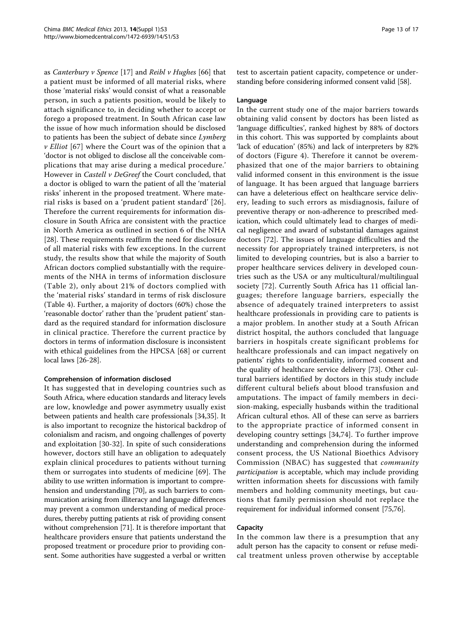as Canterbury v Spence [\[17](#page-15-0)] and Reibl v Hughes [[66](#page-16-0)] that a patient must be informed of all material risks, where those 'material risks' would consist of what a reasonable person, in such a patients position, would be likely to attach significance to, in deciding whether to accept or forego a proposed treatment. In South African case law the issue of how much information should be disclosed to patients has been the subject of debate since  $Lymberg$  $\nu$  *Elliot* [[67\]](#page-16-0) where the Court was of the opinion that a 'doctor is not obliged to disclose all the conceivable complications that may arise during a medical procedure.' However in *Castell v DeGreef* the Court concluded, that a doctor is obliged to warn the patient of all the 'material risks' inherent in the proposed treatment. Where material risks is based on a 'prudent patient standard' [[26\]](#page-15-0). Therefore the current requirements for information disclosure in South Africa are consistent with the practice in North America as outlined in section 6 of the NHA [[28\]](#page-15-0). These requirements reaffirm the need for disclosure of all material risks with few exceptions. In the current study, the results show that while the majority of South African doctors complied substantially with the requirements of the NHA in terms of information disclosure (Table [2](#page-7-0)), only about 21% of doctors complied with the 'material risks' standard in terms of risk disclosure (Table [4](#page-8-0)). Further, a majority of doctors (60%) chose the 'reasonable doctor' rather than the 'prudent patient' standard as the required standard for information disclosure in clinical practice. Therefore the current practice by doctors in terms of information disclosure is inconsistent with ethical guidelines from the HPCSA [[68\]](#page-16-0) or current local laws [[26-28\]](#page-15-0).

#### Comprehension of information disclosed

It has suggested that in developing countries such as South Africa, where education standards and literacy levels are low, knowledge and power asymmetry usually exist between patients and health care professionals [[34,35\]](#page-15-0). It is also important to recognize the historical backdrop of colonialism and racism, and ongoing challenges of poverty and exploitation [[30-32](#page-15-0)]. In spite of such considerations however, doctors still have an obligation to adequately explain clinical procedures to patients without turning them or surrogates into students of medicine [[69](#page-16-0)]. The ability to use written information is important to comprehension and understanding [[70](#page-16-0)], as such barriers to communication arising from illiteracy and language differences may prevent a common understanding of medical procedures, thereby putting patients at risk of providing consent without comprehension [[71](#page-16-0)]. It is therefore important that healthcare providers ensure that patients understand the proposed treatment or procedure prior to providing consent. Some authorities have suggested a verbal or written

test to ascertain patient capacity, competence or understanding before considering informed consent valid [[58](#page-16-0)].

## Language

In the current study one of the major barriers towards obtaining valid consent by doctors has been listed as 'language difficulties', ranked highest by 88% of doctors in this cohort. This was supported by complaints about 'lack of education' (85%) and lack of interpreters by 82% of doctors (Figure [4\)](#page-9-0). Therefore it cannot be overemphasized that one of the major barriers to obtaining valid informed consent in this environment is the issue of language. It has been argued that language barriers can have a deleterious effect on healthcare service delivery, leading to such errors as misdiagnosis, failure of preventive therapy or non-adherence to prescribed medication, which could ultimately lead to charges of medical negligence and award of substantial damages against doctors [\[72](#page-16-0)]. The issues of language difficulties and the necessity for appropriately trained interpreters, is not limited to developing countries, but is also a barrier to proper healthcare services delivery in developed countries such as the USA or any multicultural/multilingual society [[72](#page-16-0)]. Currently South Africa has 11 official languages; therefore language barriers, especially the absence of adequately trained interpreters to assist healthcare professionals in providing care to patients is a major problem. In another study at a South African district hospital, the authors concluded that language barriers in hospitals create significant problems for healthcare professionals and can impact negatively on patients' rights to confidentiality, informed consent and the quality of healthcare service delivery [[73\]](#page-16-0). Other cultural barriers identified by doctors in this study include different cultural beliefs about blood transfusion and amputations. The impact of family members in decision-making, especially husbands within the traditional African cultural ethos. All of these can serve as barriers to the appropriate practice of informed consent in developing country settings [\[34](#page-15-0)[,74](#page-16-0)]. To further improve understanding and comprehension during the informed consent process, the US National Bioethics Advisory Commission (NBAC) has suggested that community participation is acceptable, which may include providing written information sheets for discussions with family members and holding community meetings, but cautions that family permission should not replace the requirement for individual informed consent [[75](#page-16-0),[76](#page-16-0)].

## **Capacity**

In the common law there is a presumption that any adult person has the capacity to consent or refuse medical treatment unless proven otherwise by acceptable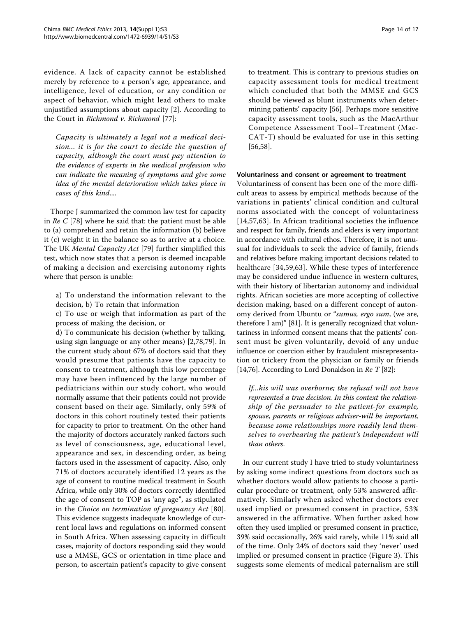evidence. A lack of capacity cannot be established merely by reference to a person's age, appearance, and intelligence, level of education, or any condition or aspect of behavior, which might lead others to make unjustified assumptions about capacity [[2\]](#page-15-0). According to the Court in Richmond v. Richmond [[77\]](#page-16-0):

Capacity is ultimately a legal not a medical decision... it is for the court to decide the question of capacity, although the court must pay attention to the evidence of experts in the medical profession who can indicate the meaning of symptoms and give some idea of the mental deterioration which takes place in cases of this kind....

Thorpe J summarized the common law test for capacity in Re C [\[78](#page-16-0)] where he said that: the patient must be able to (a) comprehend and retain the information (b) believe it (c) weight it in the balance so as to arrive at a choice. The UK Mental Capacity Act [[79\]](#page-16-0) further simplified this test, which now states that a person is deemed incapable of making a decision and exercising autonomy rights where that person is unable:

a) To understand the information relevant to the decision, b) To retain that information

c) To use or weigh that information as part of the process of making the decision, or

d) To communicate his decision (whether by talking, using sign language or any other means) [\[2](#page-15-0),[78](#page-16-0),[79\]](#page-16-0). In the current study about 67% of doctors said that they would presume that patients have the capacity to consent to treatment, although this low percentage may have been influenced by the large number of pediatricians within our study cohort, who would normally assume that their patients could not provide consent based on their age. Similarly, only 59% of doctors in this cohort routinely tested their patients for capacity to prior to treatment. On the other hand the majority of doctors accurately ranked factors such as level of consciousness, age, educational level, appearance and sex, in descending order, as being factors used in the assessment of capacity. Also, only 71% of doctors accurately identified 12 years as the age of consent to routine medical treatment in South Africa, while only 30% of doctors correctly identified the age of consent to TOP as 'any age", as stipulated in the Choice on termination of pregnancy Act [[80](#page-16-0)]. This evidence suggests inadequate knowledge of current local laws and regulations on informed consent in South Africa. When assessing capacity in difficult cases, majority of doctors responding said they would use a MMSE, GCS or orientation in time place and person, to ascertain patient's capacity to give consent to treatment. This is contrary to previous studies on capacity assessment tools for medical treatment which concluded that both the MMSE and GCS should be viewed as blunt instruments when determining patients' capacity [[56\]](#page-16-0). Perhaps more sensitive capacity assessment tools, such as the MacArthur Competence Assessment Tool–Treatment (Mac-CAT-T) should be evaluated for use in this setting [[56,58](#page-16-0)].

#### Voluntariness and consent or agreement to treatment

Voluntariness of consent has been one of the more difficult areas to assess by empirical methods because of the variations in patients' clinical condition and cultural norms associated with the concept of voluntariness [[14](#page-15-0)[,57,63](#page-16-0)]. In African traditional societies the influence and respect for family, friends and elders is very important in accordance with cultural ethos. Therefore, it is not unusual for individuals to seek the advice of family, friends and relatives before making important decisions related to healthcare [[34,](#page-15-0)[59](#page-16-0),[63\]](#page-16-0). While these types of interference may be considered undue influence in western cultures, with their history of libertarian autonomy and individual rights. African societies are more accepting of collective decision making, based on a different concept of autonomy derived from Ubuntu or "sumus, ergo sum, (we are, therefore I am)" [\[81\]](#page-16-0). It is generally recognized that voluntariness in informed consent means that the patients' consent must be given voluntarily, devoid of any undue influence or coercion either by fraudulent misrepresentation or trickery from the physician or family or friends [[14](#page-15-0)[,76\]](#page-16-0). According to Lord Donaldson in  $Re T$  [[82](#page-16-0)]:

If...his will was overborne; the refusal will not have represented a true decision. In this context the relationship of the persuader to the patient-for example, spouse, parents or religious adviser-will be important, because some relationships more readily lend themselves to overbearing the patient's independent will than others.

In our current study I have tried to study voluntariness by asking some indirect questions from doctors such as whether doctors would allow patients to choose a particular procedure or treatment, only 53% answered affirmatively. Similarly when asked whether doctors ever used implied or presumed consent in practice, 53% answered in the affirmative. When further asked how often they used implied or presumed consent in practice, 39% said occasionally, 26% said rarely, while 11% said all of the time. Only 24% of doctors said they 'never' used implied or presumed consent in practice (Figure [3\)](#page-9-0). This suggests some elements of medical paternalism are still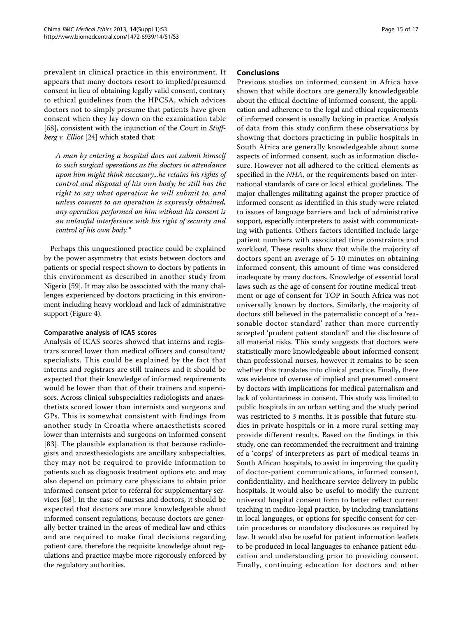prevalent in clinical practice in this environment. It appears that many doctors resort to implied/presumed consent in lieu of obtaining legally valid consent, contrary to ethical guidelines from the HPCSA, which advices doctors not to simply presume that patients have given consent when they lay down on the examination table [[68\]](#page-16-0), consistent with the injunction of the Court in Stoff-berg v. Elliot [[24\]](#page-15-0) which stated that:

A man by entering a hospital does not submit himself to such surgical operations as the doctors in attendance upon him might think necessary...he retains his rights of control and disposal of his own body; he still has the right to say what operation he will submit to, and unless consent to an operation is expressly obtained, any operation performed on him without his consent is an unlawful interference with his right of security and control of his own body."

Perhaps this unquestioned practice could be explained by the power asymmetry that exists between doctors and patients or special respect shown to doctors by patients in this environment as described in another study from Nigeria [[59](#page-16-0)]. It may also be associated with the many challenges experienced by doctors practicing in this environment including heavy workload and lack of administrative support (Figure [4\)](#page-9-0).

## Comparative analysis of ICAS scores

Analysis of ICAS scores showed that interns and registrars scored lower than medical officers and consultant/ specialists. This could be explained by the fact that interns and registrars are still trainees and it should be expected that their knowledge of informed requirements would be lower than that of their trainers and supervisors. Across clinical subspecialties radiologists and anaesthetists scored lower than internists and surgeons and GPs. This is somewhat consistent with findings from another study in Croatia where anaesthetists scored lower than internists and surgeons on informed consent [[83](#page-16-0)]. The plausible explanation is that because radiologists and anaesthesiologists are ancillary subspecialties, they may not be required to provide information to patients such as diagnosis treatment options etc. and may also depend on primary care physicians to obtain prior informed consent prior to referral for supplementary services [[68](#page-16-0)]. In the case of nurses and doctors, it should be expected that doctors are more knowledgeable about informed consent regulations, because doctors are generally better trained in the areas of medical law and ethics and are required to make final decisions regarding patient care, therefore the requisite knowledge about regulations and practice maybe more rigorously enforced by the regulatory authorities.

#### Conclusions

Previous studies on informed consent in Africa have shown that while doctors are generally knowledgeable about the ethical doctrine of informed consent, the application and adherence to the legal and ethical requirements of informed consent is usually lacking in practice. Analysis of data from this study confirm these observations by showing that doctors practicing in public hospitals in South Africa are generally knowledgeable about some aspects of informed consent, such as information disclosure. However not all adhered to the critical elements as specified in the NHA, or the requirements based on international standards of care or local ethical guidelines. The major challenges militating against the proper practice of informed consent as identified in this study were related to issues of language barriers and lack of administrative support, especially interpreters to assist with communicating with patients. Others factors identified include large patient numbers with associated time constraints and workload. These results show that while the majority of doctors spent an average of 5-10 minutes on obtaining informed consent, this amount of time was considered inadequate by many doctors. Knowledge of essential local laws such as the age of consent for routine medical treatment or age of consent for TOP in South Africa was not universally known by doctors. Similarly, the majority of doctors still believed in the paternalistic concept of a 'reasonable doctor standard' rather than more currently accepted 'prudent patient standard' and the disclosure of all material risks. This study suggests that doctors were statistically more knowledgeable about informed consent than professional nurses, however it remains to be seen whether this translates into clinical practice. Finally, there was evidence of overuse of implied and presumed consent by doctors with implications for medical paternalism and lack of voluntariness in consent. This study was limited to public hospitals in an urban setting and the study period was restricted to 3 months. It is possible that future studies in private hospitals or in a more rural setting may provide different results. Based on the findings in this study, one can recommended the recruitment and training of a 'corps' of interpreters as part of medical teams in South African hospitals, to assist in improving the quality of doctor-patient communications, informed consent, confidentiality, and healthcare service delivery in public hospitals. It would also be useful to modify the current universal hospital consent form to better reflect current teaching in medico-legal practice, by including translations in local languages, or options for specific consent for certain procedures or mandatory disclosures as required by law. It would also be useful for patient information leaflets to be produced in local languages to enhance patient education and understanding prior to providing consent. Finally, continuing education for doctors and other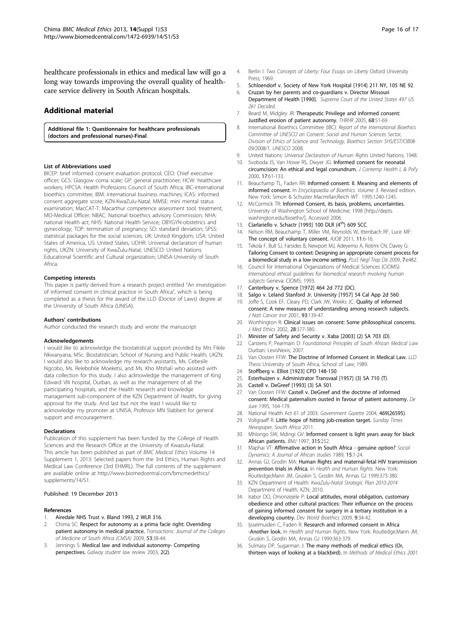<span id="page-15-0"></span>healthcare professionals in ethics and medical law will go a long way towards improving the overall quality of healthcare service delivery in South African hospitals.

## Additional material

[Additional file 1: Q](http://www.biomedcentral.com/content/supplementary/1472-6939-14-S1-S3-S1.docx)uestionnaire for healthcare professionals (doctors and professional nurses)-Final.

#### List of Abbreviations used

BICEP: brief informed consent evaluation protocol; CEO: Chief executive officer; GCS: Glasgow coma scale; GP: general practitioner; HCW: healthcare workers; HPCSA: Health Professions Council of South Africa; IBC-international bioethics committee; IBM: international business machines; ICAS: informed consent aggregate score; KZN-KwaZulu-Natal; MMSE: mini mental status examination; MacCAT-T: Macarthur competence assessment tool: treatment; MO-Medical Officer; NBAC: National bioethics advisory Commission; NHA: national Health act; NHS: National Health Service; OBYGYN-obstetrics and gynecology; TOP: termination of pregnancy; SD: standard deviation; SPSS: statistical packages for the social sciences; UK: United Kingdom; USA: United States of America, US: United States, UDHR: Universal declaration of human rights, UKZN: University of KwaZulu-Natal; UNESCO: United Nations Educational Scientific and Cultural organization; UNISA-University of South Africa.

#### Competing interests

This paper is partly derived from a research project entitled "An investigation of informed consent in clinical practice in South Africa", which is being completed as a thesis for the award of the LLD (Doctor of Laws) degree at the University of South Africa (UNISA).

#### Authors' contributions

Author conducted the research study and wrote the manuscript

#### Acknowledgements

I would like to acknowledge the biostatistical support provided by Mrs Fikile Nkwanyana, MSc. Biostatistician, School of Nursing and Public Health, UKZN. I would also like to acknowledge my research assistants, Ms. Cebesile Ngcobo, Ms. Relebohile Moeketsi, and Ms. Kho Mtshali who assisted with data collection for this study. I also acknowledge the management of King Edward VIII hospital, Durban, as well as the management of all the participating hospitals, and the Health research and knowledge management sub-component of the KZN Department of Health, for giving approval for the study. And last but not the least I would like to acknowledge my promoter at UNISA, Professor MN Slabbert for general support and encouragement.

#### Declarations

Publication of this supplement has been funded by the College of Health Sciences and the Research Office at the University of Kwazulu-Natal. This article has been published as part of BMC Medical Ethics Volume 14 Supplement 1, 2013: Selected papers from the 3rd Ethics, Human Rights and Medical Law Conference (3rd EHMRL). The full contents of the supplement are available online at [http://www.biomedcentral.com/bmcmedethics/](http://www.biomedcentral.com/bmcmedethics/supplements/14/S1) [supplements/14/S1.](http://www.biomedcentral.com/bmcmedethics/supplements/14/S1)

#### Published: 19 December 2013

#### References

- Airedale NHS Trust v. Bland 1993, 2 WLR 316.
- 2. Chima SC: Respect for autonomy as a prima facie right: Overriding patient autonomy in medical practice. Transactions: Journal of the Colleges of Medicine of South Africa (CMSA) 2009, 53:38-44.
- Jennings S: Medical law and individual autonomy- Competing perspectives. Galway student law review 2003, 2(2).
- 5. Schloendorf v. Society of New York Hospital [1914] 211 NY, 105 NE 92.
- 6. Cruzan by her parents and co-guardians v. Director Missouri Department of Health [1990]. Supreme Court of the United States 497 US 261 Decided.
- 7. Beard M, Midgley JR: Therapeutic Privilege and informed consent: Justified erosion of patient autonomy. THRHR 2005, 68:51-69.
- 8. International Bioethics Committee (IBC): Report of the International Bioethics Committee of UNESCO on Consent. Social and Human Sciences Sector, Division of Ethics of Science and Technology, Bioethics Section SHS/EST/CIB08- 09/2008/1, UNESCO 2008.
- 9. United Nations: Universal Declaration of Human Rights United Nations; 1948.
- 10. Svoboda JS, Van Howe RS, Dwyer JG: Informed consent for neonatal circumcision: An ethical and legal conundrum. J Contemp Health L & Pol'y 2000, 17:61-133.
- 11. Beauchamp TL, Faden RR: Informed consent: II. Meaning and elements of informed consent. In *Encyclopaedia of Bioethics*. Volume 3. Revised edition. New York: Simon & Schuster Macmillan;Reich WT 1995:1240-1245.
- 12. McCormick TR: Informed Consent, its basis, problems, uncertainties. University of Washington School of Medicine; 1998 [[http://depts.](http://depts.washington.edu/bioethx/) [washington.edu/bioethx/\]](http://depts.washington.edu/bioethx/), Accessed 2006.
- 13. Ciarlariello v. Schactr [1993] 100 DLR (4<sup>th</sup>) 609 SCC.
- 14. Nelson RM, Beauchamp T, Miller VM, Reynolds W, Ittenbach RF, Luce MF: The concept of voluntary consent. AJOB 2011, 11:6-16.
- 15. Tekola F, Bull SJ, Farsides B, Newport MJ, Adeyemo A, Rotimi CN, Davey G: Tailoring Consent to context: Designing an appropriate consent process for a biomedical study in a low income setting. PLoS Negl Trop Dis 2009, 7:e482.
- 16. Council for International Organizations of Medical Sciences (CIOMS): International ethical guidelines for biomedical research involving human subjects Geneva: CIOMS; 1993.
- 17. Canterbury v. Spence [1972] 464 2d 772 (DC).
- 18. Salgo v. Leland Stanford Jr. University [1957] 54 Cal App 2d 560.
- 19. Joffe S, Cook EF, Cleary PD, Clark JW, Weeks JC: [Quality of informed](http://www.ncbi.nlm.nih.gov/pubmed/11208884?dopt=Abstract) [consent: A new measure of understanding among research subjects.](http://www.ncbi.nlm.nih.gov/pubmed/11208884?dopt=Abstract) J Natl Cancer Inst 2001, 93:139-47.
- 20. Worthington R: [Clinical issues on consent: Some philosophical concerns.](http://www.ncbi.nlm.nih.gov/pubmed/12468658?dopt=Abstract) J Med Ethics 2002, 28:377-380.
- 21. Minister of Safety and Security v. Xaba [2003] (2) SA 703 (D).
- 22. Carstens P, Pearmain D: Foundational Principles of South African Medical Law Durban: LexisNexis; 2007.
- 23. Van Oosten FFW: The Doctrine of Informed Consent in Medical Law. LLD Thesis University of South Africa, School of Law; 1989.
- 24. Stoffberg v. Elliot [1923] CPD 148-150.
- 25. Esterhuizen v. Administrator Transvaal [1957] (3) SA 710 (T).
- 26. Castell v. DeGreef [1993] (3) SA 501.
- 27. Van Oosten FFW: Castell v. DeGreef and the doctrine of informed consent: Medical paternalism ousted in favour of patient autonomy. De Jure 1995, 164-179.
- 28. National Health Act 61 of 2003: Government Gazette 2004, 469(26595).
- 29. Vollgraaff R: Little hope of hitting job-creation target. Sunday Times Newspaper, South Africa 2011.
- 30. Mhlongo SW, Mdingi GV: Informed consent is light years away for black African patients. BMJ 1997, 315:252.
- 31. Maphai VT: Affirmative action in South Africa genuine option? Social Dynamics: A Journal of African studies 1989, 15:1-24.
- 32. Annas GJ, Grodin MA: Human Rights and maternal-fetal HIV transmission prevention trials in Africa. In Health and Human Rights. New York: Routledge;Mann JM, Gruskin S, Grodin MA, Annas GJ 1999:373-380.
- 33. KZN Department of Health: KwaZulu-Natal Strategic Plan 2010-2014 Department of Health, KZN; 2010.
- 34. Irabor DO, Omonzejele P: Local attitudes, moral obligation, customary obedience and other cultural practices: Their influence on the process of gaining informed consent for surgery in a tertiary institution in a developing country. Dev World Bioethics 2009, 9:34-42.
- 35. Ijsselmuiden C, Faden R: Research and informed consent in Africa -Another look. In Health and Human Rights. New York: Routledge;Mann JM, Gruskin S, Grodin MA, Annas GJ 1999:363-379.
- 36. Sulmasy DP, Sugarman J: The many methods of medical ethics (Or, thirteen ways of looking at a blackbird). In Methods of Medical Ethics 2001.